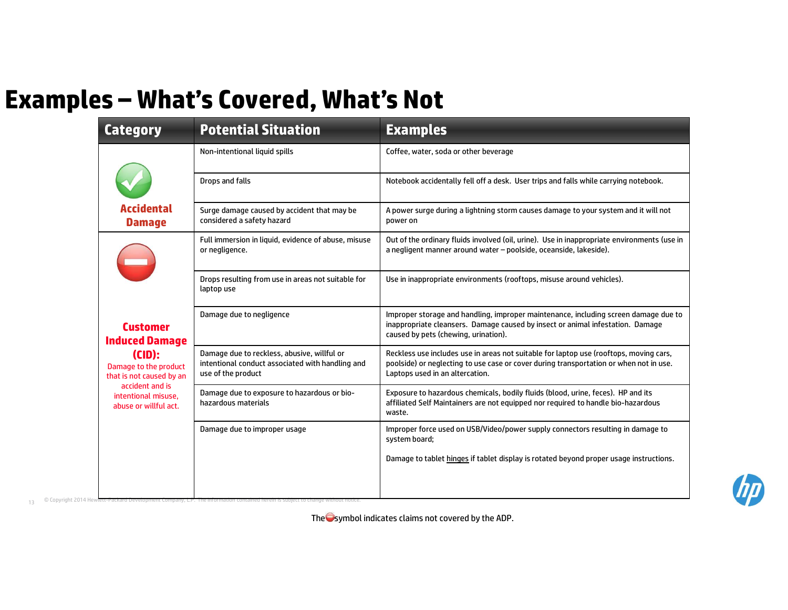## Examples – What's Covered, What's Not

| <b>Category</b>                                                 | amples – What's Covered, What's Not<br><b>Potential Situation</b>                                                     | <b>Examples</b>                                                                                                                                                                                                     |
|-----------------------------------------------------------------|-----------------------------------------------------------------------------------------------------------------------|---------------------------------------------------------------------------------------------------------------------------------------------------------------------------------------------------------------------|
|                                                                 | Non-intentional liquid spills                                                                                         | Coffee, water, soda or other beverage                                                                                                                                                                               |
|                                                                 |                                                                                                                       |                                                                                                                                                                                                                     |
|                                                                 | Drops and falls                                                                                                       | Notebook accidentally fell off a desk. User trips and falls while carrying notebook.                                                                                                                                |
| Accidental<br><b>Damage</b>                                     | Surge damage caused by accident that may be<br>considered a safety hazard                                             | A power surge during a lightning storm causes damage to your system and it will not<br>power on                                                                                                                     |
|                                                                 | Full immersion in liquid, evidence of abuse, misuse<br>or negligence.                                                 | Out of the ordinary fluids involved (oil, urine). Use in inappropriate environments (use in<br>a negligent manner around water - poolside, oceanside, lakeside).                                                    |
|                                                                 | Drops resulting from use in areas not suitable for<br>laptop use                                                      | Use in inappropriate environments (rooftops, misuse around vehicles).                                                                                                                                               |
| <b>Customer</b><br><b>Induced Damage</b>                        | Damage due to negligence                                                                                              | Improper storage and handling, improper maintenance, including screen damage due to<br>inappropriate cleansers. Damage caused by insect or animal infestation. Damage<br>caused by pets (chewing, urination).       |
| (CID):<br>Damage to the product<br>that is not caused by an     | Damage due to reckless, abusive, willful or<br>intentional conduct associated with handling and<br>use of the product | Reckless use includes use in areas not suitable for laptop use (rooftops, moving cars,<br>poolside) or neglecting to use case or cover during transportation or when not in use.<br>Laptops used in an altercation. |
| accident and is<br>intentional misuse.<br>abuse or willful act. | Damage due to exposure to hazardous or bio-<br>hazardous materials                                                    | Exposure to hazardous chemicals, bodily fluids (blood, urine, feces). HP and its<br>affiliated Self Maintainers are not equipped nor required to handle bio-hazardous<br>waste.                                     |
|                                                                 | Damage due to improper usage                                                                                          | Improper force used on USB/Video/power supply connectors resulting in damage to<br>system board;                                                                                                                    |
|                                                                 |                                                                                                                       | Damage to tablet hinges if tablet display is rotated beyond proper usage instructions.                                                                                                                              |

The  $\bigcirc$ symbol indicates claims not covered by the ADP.